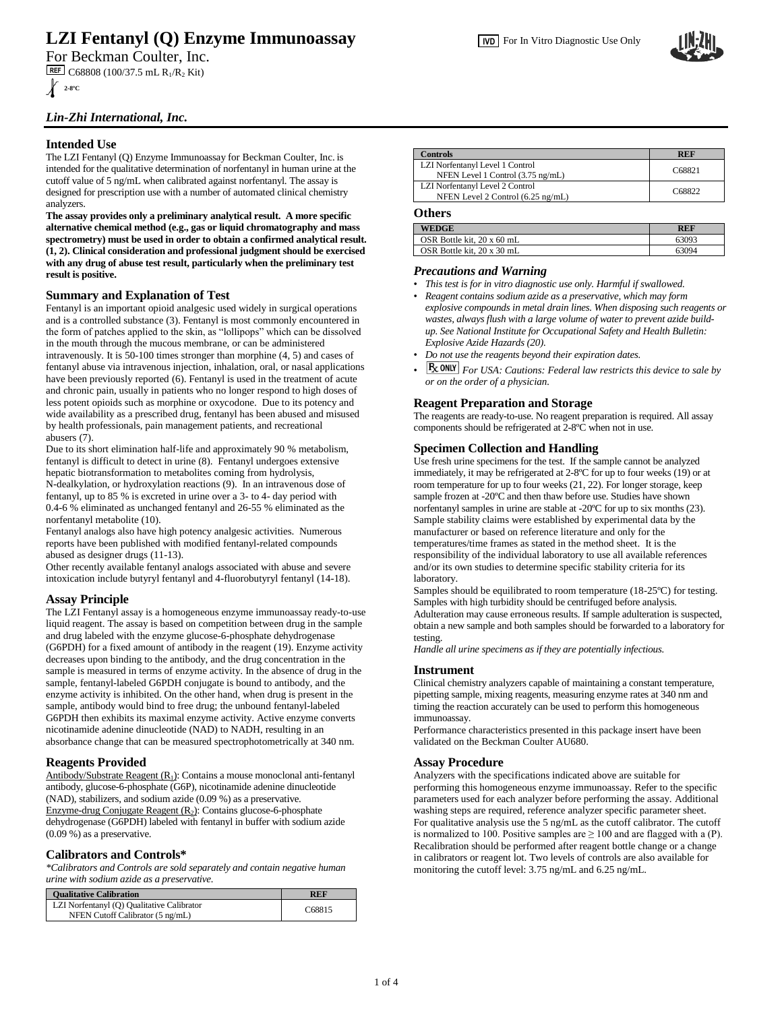# **LZI Fentanyl (Q) Enzyme Immunoassay**

# *Lin-Zhi International, Inc.*

# **Intended Use**

The LZI Fentanyl (Q) Enzyme Immunoassay for Beckman Coulter, Inc. is intended for the qualitative determination of norfentanyl in human urine at the cutoff value of 5 ng/mL when calibrated against norfentanyl. The assay is designed for prescription use with a number of automated clinical chemistry analyzers.

**The assay provides only a preliminary analytical result. A more specific alternative chemical method (e.g., gas or liquid chromatography and mass spectrometry) must be used in order to obtain a confirmed analytical result. (1, 2). Clinical consideration and professional judgment should be exercised with any drug of abuse test result, particularly when the preliminary test result is positive.**

### **Summary and Explanation of Test**

Fentanyl is an important opioid analgesic used widely in surgical operations and is a controlled substance (3). Fentanyl is most commonly encountered in the form of patches applied to the skin, as "lollipops" which can be dissolved in the mouth through the mucous membrane, or can be administered intravenously. It is 50-100 times stronger than morphine (4, 5) and cases of fentanyl abuse via intravenous injection, inhalation, oral, or nasal applications have been previously reported (6). Fentanyl is used in the treatment of acute and chronic pain, usually in patients who no longer respond to high doses of less potent opioids such as morphine or oxycodone. Due to its potency and wide availability as a prescribed drug, fentanyl has been abused and misused by health professionals, pain management patients, and recreational abusers (7).

Due to its short elimination half-life and approximately 90 % metabolism, fentanyl is difficult to detect in urine (8). Fentanyl undergoes extensive hepatic biotransformation to metabolites coming from hydrolysis, N-dealkylation, or hydroxylation reactions (9). In an intravenous dose of fentanyl, up to 85 % is excreted in urine over a 3- to 4- day period with 0.4-6 % eliminated as unchanged fentanyl and 26-55 % eliminated as the

norfentanyl metabolite (10). Fentanyl analogs also have high potency analgesic activities. Numerous

reports have been published with modified fentanyl-related compounds abused as designer drugs (11-13).

Other recently available fentanyl analogs associated with abuse and severe intoxication include butyryl fentanyl and 4-fluorobutyryl fentanyl (14-18).

# **Assay Principle**

The LZI Fentanyl assay is a homogeneous enzyme immunoassay ready-to-use liquid reagent. The assay is based on competition between drug in the sample and drug labeled with the enzyme glucose-6-phosphate dehydrogenase (G6PDH) for a fixed amount of antibody in the reagent (19). Enzyme activity decreases upon binding to the antibody, and the drug concentration in the sample is measured in terms of enzyme activity. In the absence of drug in the sample, fentanyl-labeled G6PDH conjugate is bound to antibody, and the enzyme activity is inhibited. On the other hand, when drug is present in the sample, antibody would bind to free drug; the unbound fentanyl-labeled G6PDH then exhibits its maximal enzyme activity. Active enzyme converts nicotinamide adenine dinucleotide (NAD) to NADH, resulting in an absorbance change that can be measured spectrophotometrically at 340 nm.

### **Reagents Provided**

Antibody/Substrate Reagent  $(R<sub>1</sub>)$ : Contains a mouse monoclonal anti-fentanyl antibody, glucose-6-phosphate (G6P), nicotinamide adenine dinucleotide (NAD), stabilizers, and sodium azide (0.09 %) as a preservative. Enzyme-drug Conjugate Reagent  $(R_2)$ : Contains glucose-6-phosphate dehydrogenase (G6PDH) labeled with fentanyl in buffer with sodium azide (0.09 %) as a preservative.

# **Calibrators and Controls\***

*\*Calibrators and Controls are sold separately and contain negative human urine with sodium azide as a preservative.*

| <b>Qualitative Calibration</b>                                                 | <b>REF</b> |
|--------------------------------------------------------------------------------|------------|
| LZI Norfentanyl (Q) Qualitative Calibrator<br>NFEN Cutoff Calibrator (5 ng/mL) | C68815     |

| <b>Controls</b>                                                      | <b>REF</b> |
|----------------------------------------------------------------------|------------|
| LZI Norfentanyl Level 1 Control<br>NFEN Level 1 Control (3.75 ng/mL) | C68821     |
| LZI Norfentanyl Level 2 Control<br>NFEN Level 2 Control (6.25 ng/mL) | C68822     |

### **Others**

| <b>WEDGE</b>               | REF   |
|----------------------------|-------|
| OSR Bottle kit. 20 x 60 mL | 63093 |
| OSR Bottle kit. 20 x 30 mL | 63094 |

### *Precautions and Warning*

- *This test is for in vitro diagnostic use only. Harmful if swallowed.*
- *Reagent contains sodium azide as a preservative, which may form explosive compounds in metal drain lines. When disposing such reagents or wastes, always flush with a large volume of water to prevent azide buildup. See National Institute for Occupational Safety and Health Bulletin: Explosive Azide Hazards (20).*
- *Do not use the reagents beyond their expiration dates.*
- *Fx ONLY For USA: Cautions: Federal law restricts this device to sale by or on the order of a physician.*

### **Reagent Preparation and Storage**

The reagents are ready-to-use. No reagent preparation is required. All assay components should be refrigerated at 2-8ºC when not in use.

### **Specimen Collection and Handling**

Use fresh urine specimens for the test. If the sample cannot be analyzed immediately, it may be refrigerated at 2-8ºC for up to four weeks (19) or at room temperature for up to four weeks (21, 22). For longer storage, keep sample frozen at -20ºC and then thaw before use. Studies have shown norfentanyl samples in urine are stable at -20ºC for up to six months (23). Sample stability claims were established by experimental data by the manufacturer or based on reference literature and only for the temperatures/time frames as stated in the method sheet. It is the responsibility of the individual laboratory to use all available references and/or its own studies to determine specific stability criteria for its laboratory.

Samples should be equilibrated to room temperature (18-25ºC) for testing. Samples with high turbidity should be centrifuged before analysis. Adulteration may cause erroneous results. If sample adulteration is suspected, obtain a new sample and both samples should be forwarded to a laboratory for testing.

*Handle all urine specimens as if they are potentially infectious.*

### **Instrument**

Clinical chemistry analyzers capable of maintaining a constant temperature, pipetting sample, mixing reagents, measuring enzyme rates at 340 nm and timing the reaction accurately can be used to perform this homogeneous immunoassay.

Performance characteristics presented in this package insert have been validated on the Beckman Coulter AU680.

### **Assay Procedure**

Analyzers with the specifications indicated above are suitable for performing this homogeneous enzyme immunoassay. Refer to the specific parameters used for each analyzer before performing the assay. Additional washing steps are required, reference analyzer specific parameter sheet. For qualitative analysis use the 5 ng/mL as the cutoff calibrator. The cutoff is normalized to 100. Positive samples are  $\geq 100$  and are flagged with a (P). Recalibration should be performed after reagent bottle change or a change in calibrators or reagent lot. Two levels of controls are also available for monitoring the cutoff level: 3.75 ng/mL and 6.25 ng/mL.

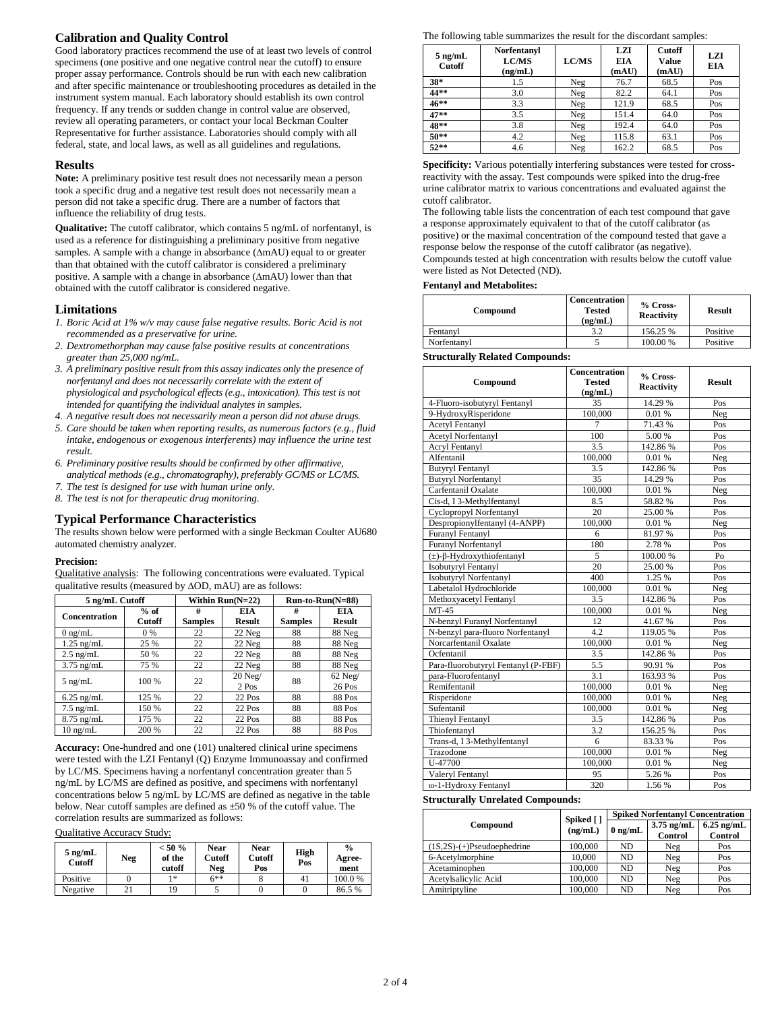# **Calibration and Quality Control**

Good laboratory practices recommend the use of at least two levels of control specimens (one positive and one negative control near the cutoff) to ensure proper assay performance. Controls should be run with each new calibration and after specific maintenance or troubleshooting procedures as detailed in the instrument system manual. Each laboratory should establish its own control frequency. If any trends or sudden change in control value are observed, review all operating parameters, or contact your local Beckman Coulter Representative for further assistance. Laboratories should comply with all federal, state, and local laws, as well as all guidelines and regulations.

### **Results**

**Note:** A preliminary positive test result does not necessarily mean a person took a specific drug and a negative test result does not necessarily mean a person did not take a specific drug. There are a number of factors that influence the reliability of drug tests.

**Qualitative:** The cutoff calibrator, which contains 5 ng/mL of norfentanyl, is used as a reference for distinguishing a preliminary positive from negative samples. A sample with a change in absorbance  $(ΔmAU)$  equal to or greater than that obtained with the cutoff calibrator is considered a preliminary positive. A sample with a change in absorbance  $(ΔmAU)$  lower than that obtained with the cutoff calibrator is considered negative.

### **Limitations**

- *1. Boric Acid at 1% w/v may cause false negative results. Boric Acid is not recommended as a preservative for urine.*
- *2. Dextromethorphan may cause false positive results at concentrations greater than 25,000 ng/mL.*
- *3. A preliminary positive result from this assay indicates only the presence of norfentanyl and does not necessarily correlate with the extent of physiological and psychological effects (e.g., intoxication). This test is not intended for quantifying the individual analytes in samples.*
- *4. A negative result does not necessarily mean a person did not abuse drugs.*
- *5. Care should be taken when reporting results, as numerous factors (e.g., fluid intake, endogenous or exogenous interferents) may influence the urine test result.*
- *6. Preliminary positive results should be confirmed by other affirmative, analytical methods (e.g., chromatography), preferably GC/MS or LC/MS.*
- *7. The test is designed for use with human urine only.*
- *8. The test is not for therapeutic drug monitoring.*

# **Typical Performance Characteristics**

The results shown below were performed with a single Beckman Coulter AU680 automated chemistry analyzer.

#### **Precision:**

Qualitative analysis: The following concentrations were evaluated. Typical qualitative results (measured by  $\Delta$ OD, mAU) are as follows:

| 5 ng/mL Cutoff       |                  |                     | Within $Run(N=22)$          |                     | $Run-to-Run(N=88)$          |
|----------------------|------------------|---------------------|-----------------------------|---------------------|-----------------------------|
| <b>Concentration</b> | $%$ of<br>Cutoff | #<br><b>Samples</b> | <b>EIA</b><br><b>Result</b> | #<br><b>Samples</b> | <b>EIA</b><br><b>Result</b> |
| $0 \text{ ng/mL}$    | 0 %              | 22                  | 22 Neg                      | 88                  | 88 Neg                      |
| $1.25$ ng/mL         | 25 %             | 22                  | 22 Neg                      | 88                  | 88 Neg                      |
| $2.5$ ng/mL          | 50 %             | 22                  | 22 Neg                      | 88                  | 88 Neg                      |
| $3.75$ ng/mL         | 75 %             | 22                  | 22 Neg                      | 88                  | 88 Neg                      |
| $5$ ng/mL            | 100 %            | 22                  | 20 Neg/<br>2 Pos            | 88                  | $62$ Neg/<br>26 Pos         |
| $6.25$ ng/mL         | 125 %            | 22                  | 22 Pos                      | 88                  | 88 Pos                      |
| $7.5$ ng/mL          | 150 %            | 22                  | 22 Pos                      | 88                  | 88 Pos                      |
| $8.75$ ng/mL         | 175 %            | 22                  | 22 Pos                      | 88                  | 88 Pos                      |
| $10 \text{ ng/mL}$   | 200 %            | 22                  | 22 Pos                      | 88                  | 88 Pos                      |

**Accuracy:** One-hundred and one (101) unaltered clinical urine specimens were tested with the LZI Fentanyl (Q) Enzyme Immunoassay and confirmed by LC/MS. Specimens having a norfentanyl concentration greater than 5 ng/mL by LC/MS are defined as positive, and specimens with norfentanyl concentrations below 5 ng/mL by LC/MS are defined as negative in the table below. Near cutoff samples are defined as ±50 % of the cutoff value. The correlation results are summarized as follows:

### Qualitative Accuracy Study:

| $5$ ng/mL<br><b>Cutoff</b> | Neg | $< 50 \%$<br>of the<br>cutoff | <b>Near</b><br>Cutoff<br>Neg | <b>Near</b><br>Cutoff<br>Pos | <b>High</b><br>Pos | $\frac{0}{0}$<br>Agree-<br>ment |
|----------------------------|-----|-------------------------------|------------------------------|------------------------------|--------------------|---------------------------------|
| Positive                   |     | 1 *                           | 6**                          |                              |                    | 100.0%                          |
| Negative                   |     | 19                            |                              |                              |                    | 86.5 %                          |

The following table summarizes the result for the discordant samples:

| $5$ ng/mL<br>Cutoff | Norfentanyl<br><b>LC/MS</b><br>(ng/mL) | <b>LC/MS</b> | <b>LZI</b><br>EIA<br>(mAU) | <b>Cutoff</b><br>Value<br>(mAU) | LZI<br>EIA |
|---------------------|----------------------------------------|--------------|----------------------------|---------------------------------|------------|
| $38*$               | 1.5                                    | Neg          | 76.7                       | 68.5                            | Pos        |
| 44**                | 3.0                                    | Neg          | 82.2                       | 64.1                            | Pos        |
| $46**$              | 3.3                                    | Neg          | 121.9                      | 68.5                            | Pos        |
| $47**$              | 3.5                                    | Neg          | 151.4                      | 64.0                            | Pos        |
| 48**                | 3.8                                    | Neg          | 192.4                      | 64.0                            | Pos        |
| $50**$              | 4.2                                    | Neg          | 115.8                      | 63.1                            | Pos        |
| $52**$              | 4.6                                    | Neg          | 162.2                      | 68.5                            | Pos        |

**Specificity:** Various potentially interfering substances were tested for crossreactivity with the assay. Test compounds were spiked into the drug-free urine calibrator matrix to various concentrations and evaluated against the cutoff calibrator.

The following table lists the concentration of each test compound that gave a response approximately equivalent to that of the cutoff calibrator (as positive) or the maximal concentration of the compound tested that gave a response below the response of the cutoff calibrator (as negative). Compounds tested at high concentration with results below the cutoff value were listed as Not Detected (ND).

#### **Fentanyl and Metabolites:**

| Compound    | <b>Concentration</b><br><b>Tested</b><br>(ng/mL) | % Cross-<br><b>Reactivity</b> | <b>Result</b> |
|-------------|--------------------------------------------------|-------------------------------|---------------|
| Fentanyl    | 3.2                                              | 156.25 %                      | Positive      |
| Norfentanyl |                                                  | 100.00 %                      | Positive      |

### **Structurally Related Compounds:**

| Compound                               | Concentration<br>Tested | % Cross-<br><b>Reactivity</b> | <b>Result</b> |
|----------------------------------------|-------------------------|-------------------------------|---------------|
|                                        | (ng/mL)                 |                               |               |
| 4-Fluoro-isobutyryl Fentanyl           | 35                      | 14.29 %                       | Pos           |
| 9-HydroxyRisperidone                   | 100,000                 | 0.01 %                        | Neg           |
| <b>Acetyl Fentanyl</b>                 | $\overline{7}$          | 71.43 %                       | Pos           |
| Acetyl Norfentanyl                     | 100                     | 5.00 %                        | Pos           |
| Acryl Fentanyl                         | $\overline{3.5}$        | 142.86%                       | Pos           |
| Alfentanil                             | 100,000                 | 0.01%                         | Neg           |
| <b>Butyryl Fentanyl</b>                | 3.5                     | 142.86%                       | Pos           |
| <b>Butyryl Norfentanyl</b>             | 35                      | 14.29 %                       | Pos           |
| Carfentanil Oxalate                    | 100,000                 | 0.01%                         | Neg           |
| Cis-d, I 3-Methylfentanyl              | 8.5                     | 58.82 %                       | Pos           |
| Cyclopropyl Norfentanyl                | 20                      | 25.00 %                       | Pos           |
| Despropionylfentanyl (4-ANPP)          | 100,000                 | 0.01 %                        | Neg           |
| Furanyl Fentanyl                       | 6                       | 81.97%                        | Pos           |
| Furanyl Norfentanyl                    | 180                     | 2.78 %                        | Pos           |
| $(\pm)$ - $\beta$ -Hydroxythiofentanyl | 5                       | 100.00 %                      | Po            |
| Isobutyryl Fentanyl                    | 20                      | 25.00 %                       | Pos           |
| Isobutyryl Norfentanyl                 | 400                     | 1.25 %                        | Pos           |
| Labetalol Hydrochloride                | 100,000                 | 0.01 %                        | Neg           |
| Methoxyacetyl Fentanyl                 | 3.5                     | 142.86%                       | Pos           |
| $MT-45$                                | 100,000                 | 0.01%                         | Neg           |
| N-benzyl Furanyl Norfentanyl           | 12                      | 41.67%                        | Pos           |
| N-benzyl para-fluoro Norfentanyl       | 4.2                     | 119.05 %                      | Pos           |
| Norcarfentanil Oxalate                 | 100,000                 | 0.01%                         | Neg           |
| Ocfentanil                             | 3.5                     | 142.86%                       | Pos           |
| Para-fluorobutyryl Fentanyl (P-FBF)    | 5.5                     | 90.91 %                       | Pos           |
| para-Fluorofentanyl                    | 3.1                     | 163.93 %                      | Pos           |
| Remifentanil                           | 100,000                 | 0.01 %                        | Neg           |
| Risperidone                            | 100,000                 | 0.01 %                        | Neg           |
| Sufentanil                             | 100,000                 | 0.01 %                        | Neg           |
| Thienyl Fentanyl                       | 3.5                     | 142.86%                       | Pos           |
| Thiofentanyl                           | 3.2                     | 156.25 %                      | Pos           |
| Trans-d, I 3-Methylfentanyl            | 6                       | 83.33 %                       | Pos           |
| Trazodone                              | 100,000                 | 0.01%                         | Neg           |
| U-47700                                | 100,000                 | 0.01%                         | Neg           |
| Valeryl Fentanyl                       | 95                      | 5.26 %                        | Pos           |
| ω-1-Hydroxy Fentanyl                   | 320                     | 1.56%                         | Pos           |

### **Structurally Unrelated Compounds:**

|                              | Spiked []<br>(ng/mL) | <b>Spiked Norfentanyl Concentration</b> |                         |                                |  |
|------------------------------|----------------------|-----------------------------------------|-------------------------|--------------------------------|--|
| Compound                     |                      | $0$ ng/mL                               | $3.75$ ng/mL<br>Control | $6.25$ ng/mL<br><b>Control</b> |  |
| $(1S,2S)-(+)Pseudoephedrine$ | 100,000              | ND.                                     | Neg                     | Pos                            |  |
| 6-Acetylmorphine             | 10.000               | ND.                                     | Neg                     | Pos                            |  |
| Acetaminophen                | 100,000              | N <sub>D</sub>                          | Neg                     | Pos                            |  |
| Acetylsalicylic Acid         | 100,000              | ND                                      | Neg                     | Pos                            |  |
| Amitriptyline                | 100,000              | ND                                      | Neg                     | Pos                            |  |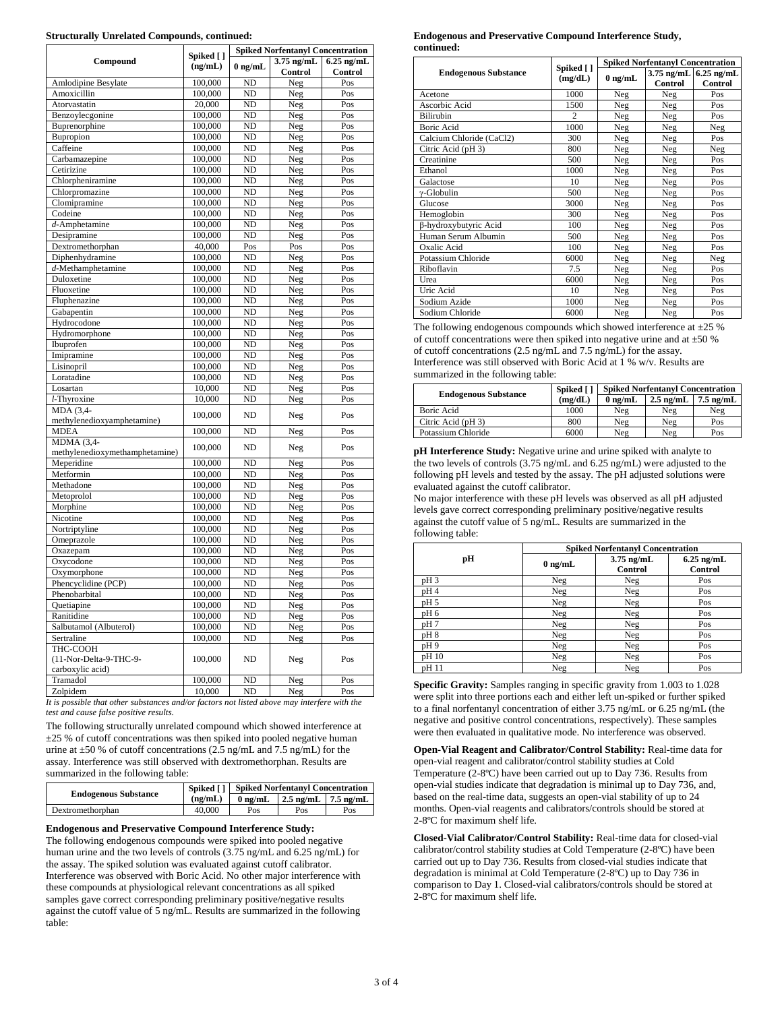#### **Structurally Unrelated Compounds, continued:**

| <b>Spiked Norfentanyl Concentration</b><br>Spiked []   |         |                     |                         |                         |  |
|--------------------------------------------------------|---------|---------------------|-------------------------|-------------------------|--|
| Compound                                               | (ng/mL) | $0$ ng/mL           | $3.75$ ng/mL<br>Control | $6.25$ ng/mL<br>Control |  |
| Amlodipine Besylate                                    | 100,000 | ND                  | Neg                     | Pos                     |  |
| Amoxicillin                                            | 100,000 | N <sub>D</sub>      | Neg                     | Pos                     |  |
| Atorvastatin                                           | 20,000  | ND                  | Neg                     | Pos                     |  |
| Benzoylecgonine                                        | 100,000 | ND                  | Neg                     | Pos                     |  |
| Buprenorphine                                          | 100,000 | ND                  | Neg                     | Pos                     |  |
| Bupropion                                              | 100,000 | ND                  | Neg                     | Pos                     |  |
| Caffeine                                               | 100,000 | ND                  | Neg                     | Pos                     |  |
| Carbamazepine                                          | 100,000 | ND                  | Neg                     | Pos                     |  |
| Cetirizine                                             | 100,000 | $\overline{\rm ND}$ | Neg                     | Pos                     |  |
| Chlorpheniramine                                       | 100,000 | ND                  | Neg                     | Pos                     |  |
| Chlorpromazine                                         | 100,000 | ND                  | Neg                     | Pos                     |  |
| Clomipramine                                           | 100,000 | N <sub>D</sub>      | Neg                     | Pos                     |  |
| Codeine                                                | 100,000 | ND                  | Neg                     | Pos                     |  |
| $d$ -Amphetamine                                       | 100,000 | ND                  | Neg                     | Pos                     |  |
| Desipramine                                            | 100,000 | ND                  | Neg                     | Pos                     |  |
| Dextromethorphan                                       | 40,000  | $\overline{Pos}$    | Pos                     | $\overline{Pos}$        |  |
| Diphenhydramine                                        | 100,000 | ND                  | Neg                     | Pos                     |  |
| $d$ -Methamphetamine                                   | 100,000 | N <sub>D</sub>      | Neg                     | Pos                     |  |
| Duloxetine                                             | 100,000 | $\overline{\rm ND}$ | Neg                     | Pos                     |  |
| Fluoxetine                                             | 100,000 | $\overline{ND}$     | Neg                     | Pos                     |  |
| Fluphenazine                                           | 100,000 | ND                  | Neg                     | Pos                     |  |
| Gabapentin                                             | 100,000 | N <sub>D</sub>      | Neg                     | Pos                     |  |
| Hydrocodone                                            | 100,000 | ND                  | Neg                     | Pos                     |  |
| Hydromorphone                                          | 100,000 | ND                  | Neg                     | Pos                     |  |
| Ibuprofen                                              | 100,000 | $\overline{ND}$     | Neg                     | Pos                     |  |
| Imipramine                                             | 100,000 | N <sub>D</sub>      | Neg                     | Pos                     |  |
| Lisinopril                                             | 100,000 | ND                  | Neg                     | Pos                     |  |
| Loratadine                                             | 100,000 | ND                  | Neg                     | Pos                     |  |
| Losartan                                               | 10.000  | N <sub>D</sub>      | Neg                     | Pos                     |  |
| $\overline{l}$ -Thyroxine                              | 10,000  | ND                  | Neg                     | Pos                     |  |
| MDA (3,4-                                              |         |                     |                         |                         |  |
| methylenedioxyamphetamine)                             | 100,000 | ND                  | Neg                     | Pos                     |  |
| <b>MDEA</b>                                            | 100,000 | $\overline{ND}$     | Neg                     | Pos                     |  |
| MDMA (3,4-<br>methylenedioxymethamphetamine)           | 100,000 | ND                  | Neg                     | Pos                     |  |
| Meperidine                                             | 100,000 | $\overline{\rm ND}$ | Neg                     | Pos                     |  |
| Metformin                                              | 100,000 | ND                  | Neg                     | Pos                     |  |
| Methadone                                              | 100,000 | N <sub>D</sub>      | Neg                     | Pos                     |  |
| Metoprolol                                             | 100,000 | ND                  | Neg                     | Pos                     |  |
| Morphine                                               | 100,000 | ND                  | Neg                     | $\overline{Pos}$        |  |
| Nicotine                                               | 100,000 | $\overline{\rm ND}$ | Neg                     | Pos                     |  |
| Nortriptyline                                          | 100,000 | $\overline{ND}$     | Neg                     | Pos                     |  |
| Omeprazole                                             | 100,000 | ND                  | Neg                     | Pos                     |  |
| Oxazepam                                               | 100,000 | N <sub>D</sub>      | Neg                     | Pos                     |  |
| Oxycodone                                              | 100,000 | ND                  | Neg                     | Pos                     |  |
| Oxymorphone                                            | 100,000 | ND                  | Neg                     | Pos                     |  |
| Phencyclidine (PCP)                                    | 100,000 | N <sub>D</sub>      | Neg                     | Pos                     |  |
| Phenobarbital                                          | 100,000 | ND                  | Neg                     | Pos                     |  |
| Quetiapine                                             | 100,000 | ND                  | Neg                     | Pos                     |  |
| Ranitidine                                             | 100,000 | ND                  | Neg                     | Pos                     |  |
| Salbutamol (Albuterol)                                 | 100,000 | ND                  | Neg                     | Pos                     |  |
| Sertraline                                             | 100,000 | ND                  | Neg                     | Pos                     |  |
| THC-COOH<br>(11-Nor-Delta-9-THC-9-<br>carboxylic acid) | 100,000 | N <sub>D</sub>      | Neg                     | Pos                     |  |
| Tramadol                                               | 100,000 | ND                  | Neg                     | $\overline{Pos}$        |  |
| Zolpidem                                               | 10,000  | $\overline{\rm ND}$ | Neg                     | Pos                     |  |

*It is possible that other substances and/or factors not listed above may interfere with the test and cause false positive results.*

The following structurally unrelated compound which showed interference at  $\pm$ 25 % of cutoff concentrations was then spiked into pooled negative human urine at  $\pm 50$  % of cutoff concentrations (2.5 ng/mL and 7.5 ng/mL) for the assay. Interference was still observed with dextromethorphan. Results are summarized in the following table:

| <b>Endogenous Substance</b> |         |           | <b>Spiked [] Spiked Norfentanyl Concentration</b> |     |
|-----------------------------|---------|-----------|---------------------------------------------------|-----|
|                             | (ng/mL) | $0$ ng/mL | $\frac{1}{2.5}$ ng/mL $\frac{1}{2.5}$ ng/mL       |     |
| Dextromethorphan            | 40,000  | Pos       | Pos                                               | Pos |

### **Endogenous and Preservative Compound Interference Study:**

The following endogenous compounds were spiked into pooled negative human urine and the two levels of controls (3.75 ng/mL and 6.25 ng/mL) for the assay. The spiked solution was evaluated against cutoff calibrator. Interference was observed with Boric Acid. No other major interference with these compounds at physiological relevant concentrations as all spiked samples gave correct corresponding preliminary positive/negative results against the cutoff value of 5 ng/mL. Results are summarized in the following table:

#### **Endogenous and Preservative Compound Interference Study, continued:**

|                             |                      |           | <b>Spiked Norfentanyl Concentration</b> |                                      |
|-----------------------------|----------------------|-----------|-----------------------------------------|--------------------------------------|
| <b>Endogenous Substance</b> | Spiked []<br>(mg/dL) | $0$ ng/mL | Control                                 | $3.75$ ng/mL $6.25$ ng/mL<br>Control |
| Acetone                     | 1000                 | Neg       | Neg                                     | Pos                                  |
| Ascorbic Acid               | 1500                 | Neg       | Neg                                     | Pos                                  |
| Bilirubin                   | $\overline{c}$       | Neg       | Neg                                     | Pos                                  |
| <b>Boric Acid</b>           | 1000                 | Neg       | Neg                                     | Neg                                  |
| Calcium Chloride (CaCl2)    | 300                  | Neg       | Neg                                     | Pos                                  |
| Citric Acid (pH 3)          | 800                  | Neg       | Neg                                     | Neg                                  |
| Creatinine                  | 500                  | Neg       | Neg                                     | Pos                                  |
| Ethanol                     | 1000                 | Neg       | Neg                                     | Pos                                  |
| Galactose                   | 10                   | Neg       | Neg                                     | Pos                                  |
| $\gamma$ -Globulin          | 500                  | Neg       | Neg                                     | Pos                                  |
| Glucose                     | 3000                 | Neg       | Neg                                     | Pos                                  |
| Hemoglobin                  | 300                  | Neg       | Neg                                     | Pos                                  |
| β-hydroxybutyric Acid       | 100                  | Neg       | Neg                                     | Pos                                  |
| Human Serum Albumin         | 500                  | Neg       | Neg                                     | Pos                                  |
| Oxalic Acid                 | 100                  | Neg       | Neg                                     | Pos                                  |
| Potassium Chloride          | 6000                 | Neg       | Neg                                     | Neg                                  |
| Riboflavin                  | 7.5                  | Neg       | Neg                                     | Pos                                  |
| Urea                        | 6000                 | Neg       | Neg                                     | Pos                                  |
| Uric Acid                   | 10                   | Neg       | Neg                                     | Pos                                  |
| Sodium Azide                | 1000                 | Neg       | Neg                                     | Pos                                  |
| Sodium Chloride             | 6000                 | Neg       | Neg                                     | Pos                                  |

The following endogenous compounds which showed interference at  $\pm 25$  % of cutoff concentrations were then spiked into negative urine and at  $\pm 50$  % of cutoff concentrations (2.5 ng/mL and 7.5 ng/mL) for the assay. Interference was still observed with Boric Acid at 1 % w/v. Results are summarized in the following table:

| <b>Endogenous Substance</b> | Spiked [] | <b>Spiked Norfentanyl Concentration</b> |                     |                     |
|-----------------------------|-----------|-----------------------------------------|---------------------|---------------------|
|                             | (mg/dL)   | $0$ ng/mL                               | $2.5 \text{ ng/mL}$ | $7.5 \text{ ng/mL}$ |
| Boric Acid                  | 1000      | Neg                                     | Neg                 | Neg                 |
| Citric Acid (pH 3)          | 800       | Neg                                     | Neg                 | Pos                 |
| Potassium Chloride          | 6000      | Neg                                     | Neg                 | Pos                 |

**pH Interference Study:** Negative urine and urine spiked with analyte to the two levels of controls (3.75 ng/mL and 6.25 ng/mL) were adjusted to the following pH levels and tested by the assay. The pH adjusted solutions were evaluated against the cutoff calibrator.

No major interference with these pH levels was observed as all pH adjusted levels gave correct corresponding preliminary positive/negative results against the cutoff value of 5 ng/mL. Results are summarized in the following table:

|                 | <b>Spiked Norfentanyl Concentration</b> |                                |                                |  |  |
|-----------------|-----------------------------------------|--------------------------------|--------------------------------|--|--|
| рH              | $0$ ng/mL                               | $3.75$ ng/mL<br><b>Control</b> | $6.25$ ng/mL<br><b>Control</b> |  |  |
| pH <sub>3</sub> | Neg                                     | Neg                            | Pos                            |  |  |
| pH4             | Neg                                     | Neg                            | Pos                            |  |  |
| pH 5            | Neg                                     | Neg                            | Pos                            |  |  |
| pH <sub>6</sub> | Neg                                     | Neg                            | Pos                            |  |  |
| pH 7            | Neg                                     | Neg                            | Pos                            |  |  |
| pH8             | Neg                                     | Neg                            | Pos                            |  |  |
| pH9             | Neg                                     | Neg                            | Pos                            |  |  |
| pH 10           | Neg                                     | Neg                            | Pos                            |  |  |
| pH 11           | Neg                                     | Neg                            | Pos                            |  |  |

**Specific Gravity:** Samples ranging in specific gravity from 1.003 to 1.028 were split into three portions each and either left un-spiked or further spiked to a final norfentanyl concentration of either 3.75 ng/mL or 6.25 ng/mL (the negative and positive control concentrations, respectively). These samples were then evaluated in qualitative mode. No interference was observed.

**Open-Vial Reagent and Calibrator/Control Stability:** Real-time data for open-vial reagent and calibrator/control stability studies at Cold Temperature (2-8ºC) have been carried out up to Day 736. Results from open-vial studies indicate that degradation is minimal up to Day 736, and, based on the real-time data, suggests an open-vial stability of up to 24 months. Open-vial reagents and calibrators/controls should be stored at 2-8ºC for maximum shelf life.

**Closed-Vial Calibrator/Control Stability:** Real-time data for closed-vial calibrator/control stability studies at Cold Temperature (2-8ºC) have been carried out up to Day 736. Results from closed-vial studies indicate that degradation is minimal at Cold Temperature (2-8ºC) up to Day 736 in comparison to Day 1. Closed-vial calibrators/controls should be stored at 2-8ºC for maximum shelf life.